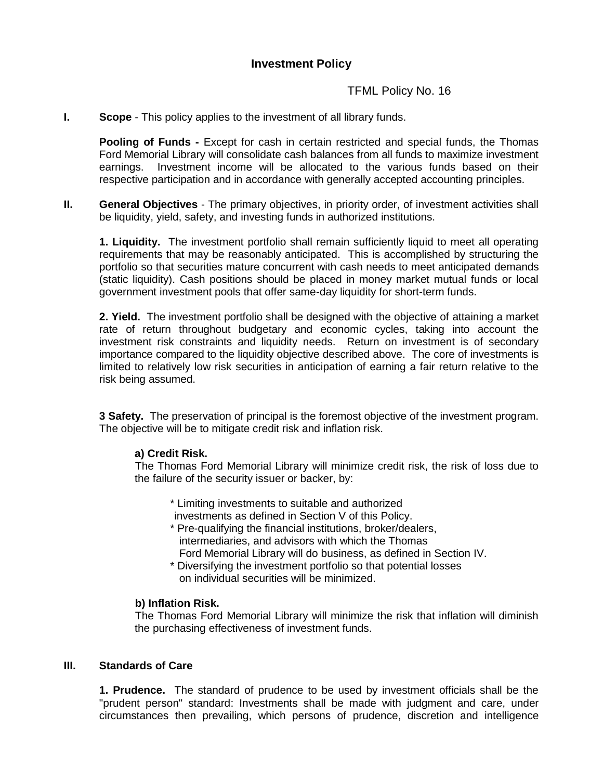# TFML Policy No. 16

**I. Scope** - This policy applies to the investment of all library funds.

**Pooling of Funds -** Except for cash in certain restricted and special funds, the Thomas Ford Memorial Library will consolidate cash balances from all funds to maximize investment earnings. Investment income will be allocated to the various funds based on their respective participation and in accordance with generally accepted accounting principles.

**II. General Objectives** - The primary objectives, in priority order, of investment activities shall be liquidity, yield, safety, and investing funds in authorized institutions.

**1. Liquidity.** The investment portfolio shall remain sufficiently liquid to meet all operating requirements that may be reasonably anticipated. This is accomplished by structuring the portfolio so that securities mature concurrent with cash needs to meet anticipated demands (static liquidity). Cash positions should be placed in money market mutual funds or local government investment pools that offer same-day liquidity for short-term funds.

**2. Yield.** The investment portfolio shall be designed with the objective of attaining a market rate of return throughout budgetary and economic cycles, taking into account the investment risk constraints and liquidity needs. Return on investment is of secondary importance compared to the liquidity objective described above. The core of investments is limited to relatively low risk securities in anticipation of earning a fair return relative to the risk being assumed.

**3 Safety.** The preservation of principal is the foremost objective of the investment program. The objective will be to mitigate credit risk and inflation risk.

#### **a) Credit Risk.**

The Thomas Ford Memorial Library will minimize credit risk, the risk of loss due to the failure of the security issuer or backer, by:

- \* Limiting investments to suitable and authorized
- investments as defined in Section V of this Policy.
- \* Pre-qualifying the financial institutions, broker/dealers, intermediaries, and advisors with which the Thomas Ford Memorial Library will do business, as defined in Section IV.
- \* Diversifying the investment portfolio so that potential losses on individual securities will be minimized.

## **b) Inflation Risk.**

The Thomas Ford Memorial Library will minimize the risk that inflation will diminish the purchasing effectiveness of investment funds.

#### **III. Standards of Care**

**1. Prudence.** The standard of prudence to be used by investment officials shall be the "prudent person" standard: Investments shall be made with judgment and care, under circumstances then prevailing, which persons of prudence, discretion and intelligence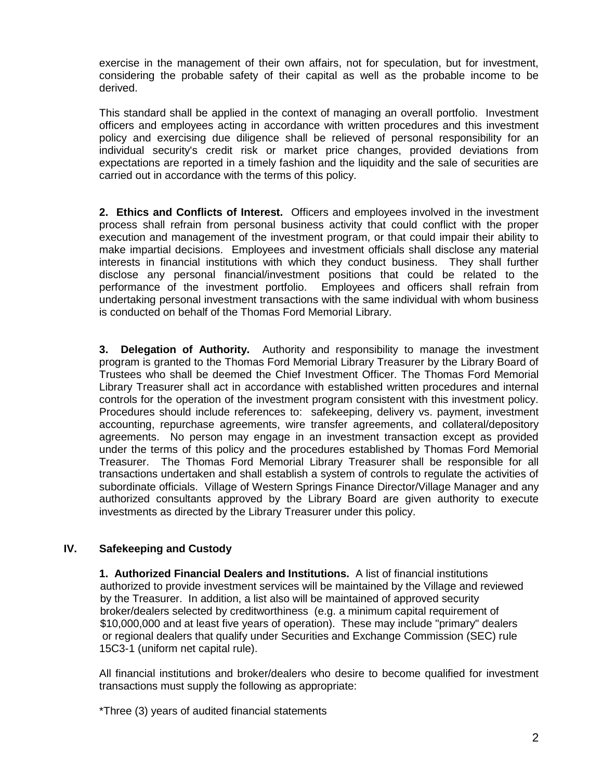exercise in the management of their own affairs, not for speculation, but for investment, considering the probable safety of their capital as well as the probable income to be derived.

This standard shall be applied in the context of managing an overall portfolio. Investment officers and employees acting in accordance with written procedures and this investment policy and exercising due diligence shall be relieved of personal responsibility for an individual security's credit risk or market price changes, provided deviations from expectations are reported in a timely fashion and the liquidity and the sale of securities are carried out in accordance with the terms of this policy.

**2. Ethics and Conflicts of Interest.** Officers and employees involved in the investment process shall refrain from personal business activity that could conflict with the proper execution and management of the investment program, or that could impair their ability to make impartial decisions. Employees and investment officials shall disclose any material interests in financial institutions with which they conduct business. They shall further disclose any personal financial/investment positions that could be related to the performance of the investment portfolio. Employees and officers shall refrain from undertaking personal investment transactions with the same individual with whom business is conducted on behalf of the Thomas Ford Memorial Library.

**3. Delegation of Authority.** Authority and responsibility to manage the investment program is granted to the Thomas Ford Memorial Library Treasurer by the Library Board of Trustees who shall be deemed the Chief Investment Officer. The Thomas Ford Memorial Library Treasurer shall act in accordance with established written procedures and internal controls for the operation of the investment program consistent with this investment policy. Procedures should include references to: safekeeping, delivery vs. payment, investment accounting, repurchase agreements, wire transfer agreements, and collateral/depository agreements. No person may engage in an investment transaction except as provided under the terms of this policy and the procedures established by Thomas Ford Memorial Treasurer. The Thomas Ford Memorial Library Treasurer shall be responsible for all transactions undertaken and shall establish a system of controls to regulate the activities of subordinate officials. Village of Western Springs Finance Director/Village Manager and any authorized consultants approved by the Library Board are given authority to execute investments as directed by the Library Treasurer under this policy.

## **IV. Safekeeping and Custody**

**1. Authorized Financial Dealers and Institutions.** A list of financial institutions authorized to provide investment services will be maintained by the Village and reviewed by the Treasurer. In addition, a list also will be maintained of approved security broker/dealers selected by creditworthiness (e.g. a minimum capital requirement of \$10,000,000 and at least five years of operation). These may include "primary" dealers or regional dealers that qualify under Securities and Exchange Commission (SEC) rule 15C3-1 (uniform net capital rule).

All financial institutions and broker/dealers who desire to become qualified for investment transactions must supply the following as appropriate:

\*Three (3) years of audited financial statements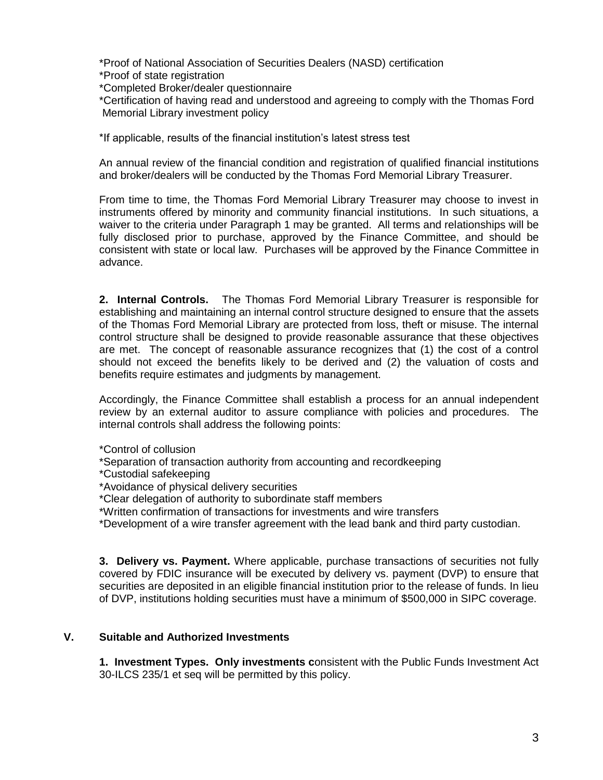\*Proof of National Association of Securities Dealers (NASD) certification

- \*Proof of state registration
- \*Completed Broker/dealer questionnaire
- \*Certification of having read and understood and agreeing to comply with the Thomas Ford Memorial Library investment policy

\*If applicable, results of the financial institution's latest stress test

An annual review of the financial condition and registration of qualified financial institutions and broker/dealers will be conducted by the Thomas Ford Memorial Library Treasurer.

From time to time, the Thomas Ford Memorial Library Treasurer may choose to invest in instruments offered by minority and community financial institutions. In such situations, a waiver to the criteria under Paragraph 1 may be granted. All terms and relationships will be fully disclosed prior to purchase, approved by the Finance Committee, and should be consistent with state or local law. Purchases will be approved by the Finance Committee in advance.

**2. Internal Controls.** The Thomas Ford Memorial Library Treasurer is responsible for establishing and maintaining an internal control structure designed to ensure that the assets of the Thomas Ford Memorial Library are protected from loss, theft or misuse. The internal control structure shall be designed to provide reasonable assurance that these objectives are met. The concept of reasonable assurance recognizes that (1) the cost of a control should not exceed the benefits likely to be derived and (2) the valuation of costs and benefits require estimates and judgments by management.

Accordingly, the Finance Committee shall establish a process for an annual independent review by an external auditor to assure compliance with policies and procedures. The internal controls shall address the following points:

- \*Control of collusion
- \*Separation of transaction authority from accounting and recordkeeping
- \*Custodial safekeeping
- \*Avoidance of physical delivery securities
- \*Clear delegation of authority to subordinate staff members
- \*Written confirmation of transactions for investments and wire transfers
- \*Development of a wire transfer agreement with the lead bank and third party custodian.

**3. Delivery vs. Payment.** Where applicable, purchase transactions of securities not fully covered by FDIC insurance will be executed by delivery vs. payment (DVP) to ensure that securities are deposited in an eligible financial institution prior to the release of funds. In lieu of DVP, institutions holding securities must have a minimum of \$500,000 in SIPC coverage.

## **V. Suitable and Authorized Investments**

**1. Investment Types. Only investments c**onsistent with the Public Funds Investment Act 30-ILCS 235/1 et seq will be permitted by this policy.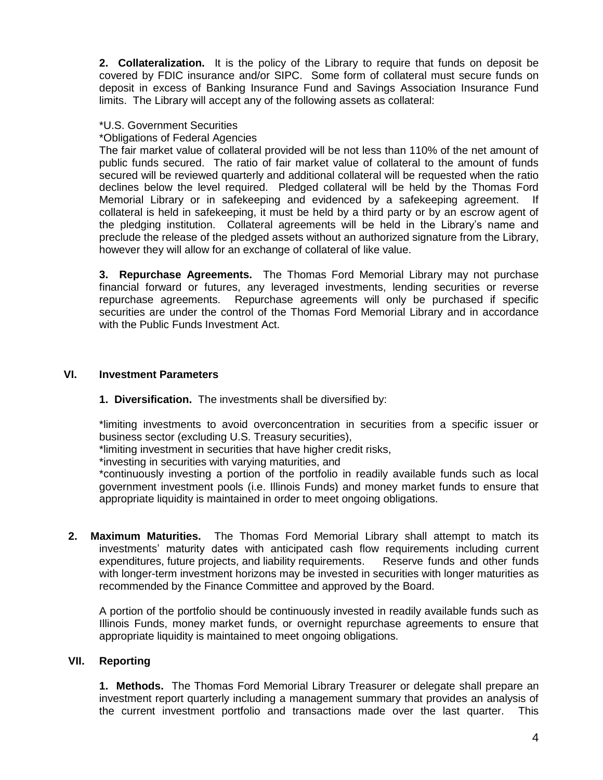**2. Collateralization.** It is the policy of the Library to require that funds on deposit be covered by FDIC insurance and/or SIPC. Some form of collateral must secure funds on deposit in excess of Banking Insurance Fund and Savings Association Insurance Fund limits. The Library will accept any of the following assets as collateral:

#### \*U.S. Government Securities

\*Obligations of Federal Agencies

The fair market value of collateral provided will be not less than 110% of the net amount of public funds secured. The ratio of fair market value of collateral to the amount of funds secured will be reviewed quarterly and additional collateral will be requested when the ratio declines below the level required. Pledged collateral will be held by the Thomas Ford Memorial Library or in safekeeping and evidenced by a safekeeping agreement. If collateral is held in safekeeping, it must be held by a third party or by an escrow agent of the pledging institution. Collateral agreements will be held in the Library's name and preclude the release of the pledged assets without an authorized signature from the Library, however they will allow for an exchange of collateral of like value.

**3. Repurchase Agreements.** The Thomas Ford Memorial Library may not purchase financial forward or futures, any leveraged investments, lending securities or reverse repurchase agreements. Repurchase agreements will only be purchased if specific securities are under the control of the Thomas Ford Memorial Library and in accordance with the Public Funds Investment Act.

## **VI. Investment Parameters**

**1. Diversification.** The investments shall be diversified by:

\*limiting investments to avoid overconcentration in securities from a specific issuer or business sector (excluding U.S. Treasury securities),

\*limiting investment in securities that have higher credit risks,

\*investing in securities with varying maturities, and

\*continuously investing a portion of the portfolio in readily available funds such as local government investment pools (i.e. Illinois Funds) and money market funds to ensure that appropriate liquidity is maintained in order to meet ongoing obligations.

**2. Maximum Maturities.** The Thomas Ford Memorial Library shall attempt to match its investments' maturity dates with anticipated cash flow requirements including current expenditures, future projects, and liability requirements. Reserve funds and other funds with longer-term investment horizons may be invested in securities with longer maturities as recommended by the Finance Committee and approved by the Board.

A portion of the portfolio should be continuously invested in readily available funds such as Illinois Funds, money market funds, or overnight repurchase agreements to ensure that appropriate liquidity is maintained to meet ongoing obligations.

## **VII. Reporting**

**1. Methods.** The Thomas Ford Memorial Library Treasurer or delegate shall prepare an investment report quarterly including a management summary that provides an analysis of the current investment portfolio and transactions made over the last quarter. This